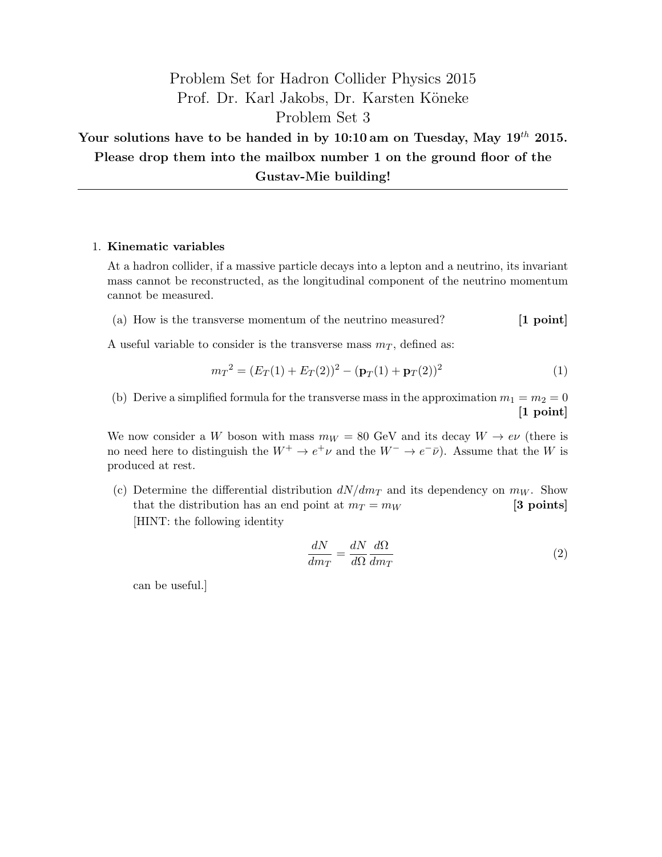## Problem Set for Hadron Collider Physics 2015 Prof. Dr. Karl Jakobs, Dr. Karsten Köneke Problem Set 3

Your solutions have to be handed in by 10:10 am on Tuesday, May  $19^{th}$  2015. Please drop them into the mailbox number 1 on the ground floor of the Gustav-Mie building!

## 1. Kinematic variables

At a hadron collider, if a massive particle decays into a lepton and a neutrino, its invariant mass cannot be reconstructed, as the longitudinal component of the neutrino momentum cannot be measured.

(a) How is the transverse momentum of the neutrino measured? [1 point]

A useful variable to consider is the transverse mass  $m<sub>T</sub>$ , defined as:

$$
m_T^2 = (E_T(1) + E_T(2))^2 - (\mathbf{p}_T(1) + \mathbf{p}_T(2))^2
$$
\n(1)

(b) Derive a simplified formula for the transverse mass in the approximation  $m_1 = m_2 = 0$ [1 point]

We now consider a W boson with mass  $m_W = 80$  GeV and its decay  $W \rightarrow e\nu$  (there is no need here to distinguish the  $W^+ \to e^+ \nu$  and the  $W^- \to e^- \bar{\nu}$ ). Assume that the W is produced at rest.

(c) Determine the differential distribution  $dN/dm<sub>T</sub>$  and its dependency on  $m<sub>W</sub>$ . Show that the distribution has an end point at  $m_T = m_W$  [3 points] [HINT: the following identity

$$
\frac{dN}{dm_T} = \frac{dN}{d\Omega} \frac{d\Omega}{dm_T} \tag{2}
$$

can be useful.]